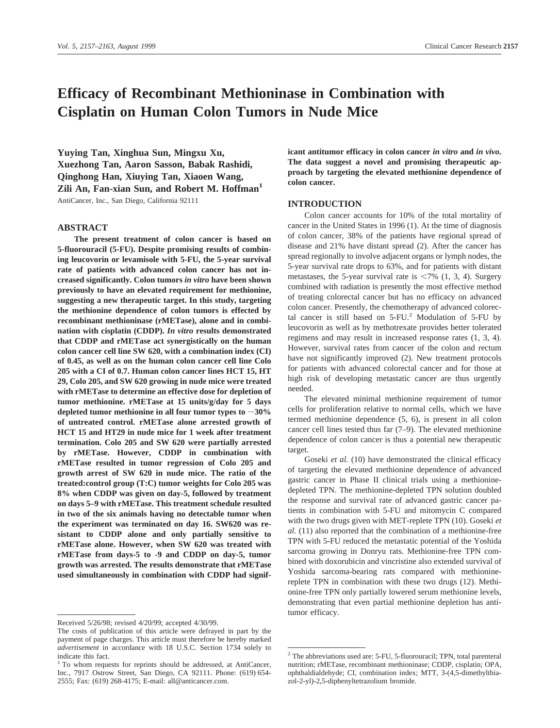# **Efficacy of Recombinant Methioninase in Combination with Cisplatin on Human Colon Tumors in Nude Mice**

**Yuying Tan, Xinghua Sun, Mingxu Xu, Xuezhong Tan, Aaron Sasson, Babak Rashidi, Qinghong Han, Xiuying Tan, Xiaoen Wang, Zili An, Fan-xian Sun, and Robert M. Hoffman1** AntiCancer, Inc., San Diego, California 92111

## **ABSTRACT**

**The present treatment of colon cancer is based on 5-fluorouracil (5-FU). Despite promising results of combining leucovorin or levamisole with 5-FU, the 5-year survival rate of patients with advanced colon cancer has not increased significantly. Colon tumors** *in vitro* **have been shown previously to have an elevated requirement for methionine, suggesting a new therapeutic target. In this study, targeting the methionine dependence of colon tumors is effected by recombinant methioninase (rMETase), alone and in combination with cisplatin (CDDP).** *In vitro* **results demonstrated that CDDP and rMETase act synergistically on the human colon cancer cell line SW 620, with a combination index (CI) of 0.45, as well as on the human colon cancer cell line Colo 205 with a CI of 0.7. Human colon cancer lines HCT 15, HT 29, Colo 205, and SW 620 growing in nude mice were treated with rMETase to determine an effective dose for depletion of tumor methionine. rMETase at 15 units/g/day for 5 days** depleted tumor methionine in all four tumor types to  $\sim$  30% **of untreated control. rMETase alone arrested growth of HCT 15 and HT29 in nude mice for 1 week after treatment termination. Colo 205 and SW 620 were partially arrested by rMETase. However, CDDP in combination with rMETase resulted in tumor regression of Colo 205 and growth arrest of SW 620 in nude mice. The ratio of the treated:control group (T:C) tumor weights for Colo 205 was 8% when CDDP was given on day-5, followed by treatment on days 5–9 with rMETase. This treatment schedule resulted in two of the six animals having no detectable tumor when the experiment was terminated on day 16. SW620 was resistant to CDDP alone and only partially sensitive to rMETase alone. However, when SW 620 was treated with rMETase from days-5 to -9 and CDDP on day-5, tumor growth was arrested. The results demonstrate that rMETase used simultaneously in combination with CDDP had signif-** **icant antitumor efficacy in colon cancer** *in vitro* **and** *in vivo***. The data suggest a novel and promising therapeutic approach by targeting the elevated methionine dependence of colon cancer.**

## **INTRODUCTION**

Colon cancer accounts for 10% of the total mortality of cancer in the United States in 1996 (1). At the time of diagnosis of colon cancer, 38% of the patients have regional spread of disease and 21% have distant spread (2). After the cancer has spread regionally to involve adjacent organs or lymph nodes, the 5-year survival rate drops to 63%, and for patients with distant metastases, the 5-year survival rate is  $\langle 7\% \, (1, 3, 4)$ . Surgery combined with radiation is presently the most effective method of treating colorectal cancer but has no efficacy on advanced colon cancer. Presently, the chemotherapy of advanced colorectal cancer is still based on  $5$ -FU.<sup>2</sup> Modulation of  $5$ -FU by leucovorin as well as by methotrexate provides better tolerated regimens and may result in increased response rates (1, 3, 4). However, survival rates from cancer of the colon and rectum have not significantly improved (2). New treatment protocols for patients with advanced colorectal cancer and for those at high risk of developing metastatic cancer are thus urgently needed.

The elevated minimal methionine requirement of tumor cells for proliferation relative to normal cells, which we have termed methionine dependence (5, 6), is present in all colon cancer cell lines tested thus far (7–9). The elevated methionine dependence of colon cancer is thus a potential new therapeutic target.

Goseki *et al.* (10) have demonstrated the clinical efficacy of targeting the elevated methionine dependence of advanced gastric cancer in Phase II clinical trials using a methioninedepleted TPN. The methionine-depleted TPN solution doubled the response and survival rate of advanced gastric cancer patients in combination with 5-FU and mitomycin C compared with the two drugs given with MET-replete TPN (10). Goseki *et al.* (11) also reported that the combination of a methionine-free TPN with 5-FU reduced the metastatic potential of the Yoshida sarcoma growing in Donryu rats. Methionine-free TPN combined with doxorubicin and vincristine also extended survival of Yoshida sarcoma-bearing rats compared with methioninereplete TPN in combination with these two drugs (12). Methionine-free TPN only partially lowered serum methionine levels, demonstrating that even partial methionine depletion has antitumor efficacy.

Received 5/26/98; revised 4/20/99; accepted 4/30/99.

The costs of publication of this article were defrayed in part by the payment of page charges. This article must therefore be hereby marked *advertisement* in accordance with 18 U.S.C. Section 1734 solely to indicate this fact.

<sup>&</sup>lt;sup>1</sup> To whom requests for reprints should be addressed, at AntiCancer, Inc., 7917 Ostrow Street, San Diego, CA 92111. Phone: (619) 654- 2555; Fax: (619) 268-4175; E-mail: all@anticancer.com.

<sup>2</sup> The abbreviations used are: 5-FU, 5-fluorouracil; TPN, total parenteral nutrition; rMETase, recombinant methioninase; CDDP, cisplatin; OPA, ophthaldialdehyde; CI, combination index; MTT, 3-(4,5-dimethylthiazol-2-yl)-2,5-diphenyltetrazolium bromide.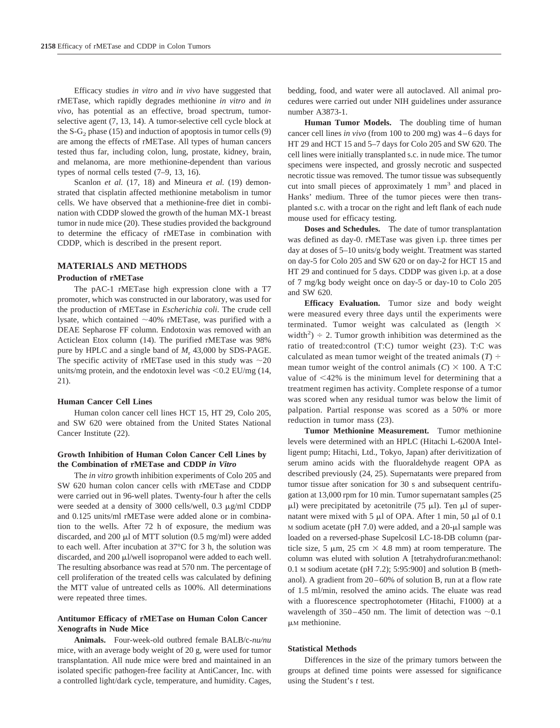Efficacy studies *in vitro* and *in vivo* have suggested that rMETase, which rapidly degrades methionine *in vitro* and *in vivo*, has potential as an effective, broad spectrum, tumorselective agent (7, 13, 14). A tumor-selective cell cycle block at the  $S-G<sub>2</sub>$  phase (15) and induction of apoptosis in tumor cells (9) are among the effects of rMETase. All types of human cancers tested thus far, including colon, lung, prostate, kidney, brain, and melanoma, are more methionine-dependent than various types of normal cells tested (7–9, 13, 16).

Scanlon *et al.* (17, 18) and Mineura *et al.* (19) demonstrated that cisplatin affected methionine metabolism in tumor cells. We have observed that a methionine-free diet in combination with CDDP slowed the growth of the human MX-1 breast tumor in nude mice (20). These studies provided the background to determine the efficacy of rMETase in combination with CDDP, which is described in the present report.

## **MATERIALS AND METHODS**

#### **Production of rMETase**

The pAC-1 rMETase high expression clone with a T7 promoter, which was constructed in our laboratory, was used for the production of rMETase in *Escherichia coli*. The crude cell lysate, which contained  $\sim$ 40% rMETase, was purified with a DEAE Sepharose FF column. Endotoxin was removed with an Acticlean Etox column (14). The purified rMETase was 98% pure by HPLC and a single band of  $M_r$  43,000 by SDS-PAGE. The specific activity of rMETase used in this study was  $\sim$ 20 units/mg protein, and the endotoxin level was  $< 0.2$  EU/mg (14, 21).

## **Human Cancer Cell Lines**

Human colon cancer cell lines HCT 15, HT 29, Colo 205, and SW 620 were obtained from the United States National Cancer Institute (22).

## **Growth Inhibition of Human Colon Cancer Cell Lines by the Combination of rMETase and CDDP** *in Vitro*

The *in vitro* growth inhibition experiments of Colo 205 and SW 620 human colon cancer cells with rMETase and CDDP were carried out in 96-well plates. Twenty-four h after the cells were seeded at a density of 3000 cells/well, 0.3  $\mu$ g/ml CDDP and 0.125 units/ml rMETase were added alone or in combination to the wells. After 72 h of exposure, the medium was discarded, and 200  $\mu$ l of MTT solution (0.5 mg/ml) were added to each well. After incubation at 37°C for 3 h, the solution was discarded, and  $200 \mu l$ /well isopropanol were added to each well. The resulting absorbance was read at 570 nm. The percentage of cell proliferation of the treated cells was calculated by defining the MTT value of untreated cells as 100%. All determinations were repeated three times.

## **Antitumor Efficacy of rMETase on Human Colon Cancer Xenografts in Nude Mice**

**Animals.** Four-week-old outbred female BALB/c*-nu/nu* mice, with an average body weight of 20 g, were used for tumor transplantation. All nude mice were bred and maintained in an isolated specific pathogen-free facility at AntiCancer, Inc. with a controlled light/dark cycle, temperature, and humidity. Cages,

bedding, food, and water were all autoclaved. All animal procedures were carried out under NIH guidelines under assurance number A3873-1.

**Human Tumor Models.** The doubling time of human cancer cell lines *in vivo* (from 100 to 200 mg) was 4–6 days for HT 29 and HCT 15 and 5–7 days for Colo 205 and SW 620. The cell lines were initially transplanted s.c. in nude mice. The tumor specimens were inspected, and grossly necrotic and suspected necrotic tissue was removed. The tumor tissue was subsequently cut into small pieces of approximately 1 mm<sup>3</sup> and placed in Hanks' medium. Three of the tumor pieces were then transplanted s.c. with a trocar on the right and left flank of each nude mouse used for efficacy testing.

**Doses and Schedules.** The date of tumor transplantation was defined as day-0. rMETase was given i.p. three times per day at doses of 5–10 units/g body weight. Treatment was started on day-5 for Colo 205 and SW 620 or on day-2 for HCT 15 and HT 29 and continued for 5 days. CDDP was given i.p. at a dose of 7 mg/kg body weight once on day-5 or day-10 to Colo 205 and SW 620.

**Efficacy Evaluation.** Tumor size and body weight were measured every three days until the experiments were terminated. Tumor weight was calculated as (length  $\times$ width<sup>2</sup>)  $\div$  2. Tumor growth inhibition was determined as the ratio of treated:control (T:C) tumor weight (23). T:C was calculated as mean tumor weight of the treated animals  $(T)$  ÷ mean tumor weight of the control animals  $(C) \times 100$ . A T:C value of  $\leq 42\%$  is the minimum level for determining that a treatment regimen has activity. Complete response of a tumor was scored when any residual tumor was below the limit of palpation. Partial response was scored as a 50% or more reduction in tumor mass (23).

**Tumor Methionine Measurement.** Tumor methionine levels were determined with an HPLC (Hitachi L-6200A Intelligent pump; Hitachi, Ltd., Tokyo, Japan) after derivitization of serum amino acids with the fluoraldehyde reagent OPA as described previously (24, 25). Supernatants were prepared from tumor tissue after sonication for 30 s and subsequent centrifugation at 13,000 rpm for 10 min. Tumor supernatant samples (25  $\mu$ l) were precipitated by acetonitrile (75  $\mu$ l). Ten  $\mu$ l of supernatant were mixed with 5  $\mu$ l of OPA. After 1 min, 50  $\mu$ l of 0.1 M sodium acetate (pH 7.0) were added, and a  $20-\mu l$  sample was loaded on a reversed-phase Supelcosil LC-18-DB column (particle size, 5  $\mu$ m, 25 cm  $\times$  4.8 mm) at room temperature. The column was eluted with solution A [tetrahydrofuran:methanol: 0.1 M sodium acetate (pH 7.2); 5:95:900] and solution B (methanol). A gradient from 20–60% of solution B, run at a flow rate of 1.5 ml/min, resolved the amino acids. The eluate was read with a fluorescence spectrophotometer (Hitachi, F1000) at a wavelength of 350–450 nm. The limit of detection was  $\sim 0.1$  $µM$  methionine.

#### **Statistical Methods**

Differences in the size of the primary tumors between the groups at defined time points were assessed for significance using the Student's *t* test.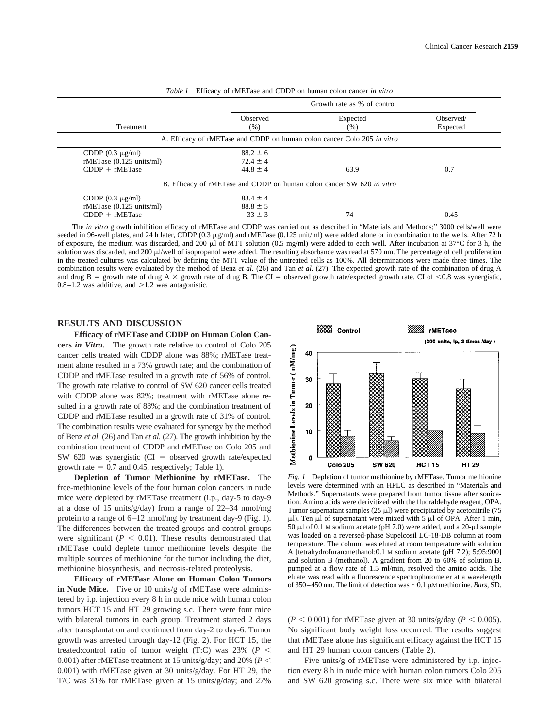|                          | Enneary of find rate and color on human colon cancer <i>in this</i>     |                             |           |  |  |  |
|--------------------------|-------------------------------------------------------------------------|-----------------------------|-----------|--|--|--|
|                          |                                                                         | Growth rate as % of control |           |  |  |  |
|                          | Observed                                                                | Expected                    | Observed/ |  |  |  |
| Treatment                | (% )                                                                    | (% )                        | Expected  |  |  |  |
|                          | A. Efficacy of rMETase and CDDP on human colon cancer Colo 205 in vitro |                             |           |  |  |  |
| CDDP $(0.3 \mu g/ml)$    | $88.2 \pm 6$                                                            |                             |           |  |  |  |
| rMETase (0.125 units/ml) | $72.4 \pm 4$                                                            |                             |           |  |  |  |
| $CDDP + rMETase$         | $44.8 \pm 4$                                                            | 63.9                        | 0.7       |  |  |  |
|                          | B. Efficacy of rMETase and CDDP on human colon cancer SW 620 in vitro   |                             |           |  |  |  |
| CDDP $(0.3 \mu g/ml)$    | $83.4 \pm 4$                                                            |                             |           |  |  |  |
| rMETase (0.125 units/ml) | $88.8 \pm 5$                                                            |                             |           |  |  |  |
| $CDDP + rMETase$         | $33 \pm 3$                                                              | 74                          | 0.45      |  |  |  |

*Table 1* Efficacy of rMETase and CDDP on human colon cancer *in vitro*

The *in vitro* growth inhibition efficacy of rMETase and CDDP was carried out as described in "Materials and Methods;" 3000 cells/well were seeded in 96-well plates, and 24 h later, CDDP (0.3  $\mu$ g/ml) and rMETase (0.125 unit/ml) were added alone or in combination to the wells. After 72 h of exposure, the medium was discarded, and 200  $\mu$ l of MTT solution (0.5 mg/ml) were added to each well. After incubation at 37°C for 3 h, the solution was discarded, and 200 µl/well of isopropanol were added. The resulting absorbance was read at 570 nm. The percentage of cell proliferation in the treated cultures was calculated by defining the MTT value of the untreated cells as 100%. All determinations were made three times. The combination results were evaluated by the method of Benz *et al.* (26) and Tan *et al.* (27). The expected growth rate of the combination of drug A and drug B = growth rate of drug A  $\times$  growth rate of drug B. The CI = observed growth rate/expected growth rate. CI of <0.8 was synergistic,  $0.8-1.2$  was additive, and  $>1.2$  was antagonistic.

## **RESULTS AND DISCUSSION**

**Efficacy of rMETase and CDDP on Human Colon Cancers** *in Vitro***.** The growth rate relative to control of Colo 205 cancer cells treated with CDDP alone was 88%; rMETase treatment alone resulted in a 73% growth rate; and the combination of CDDP and rMETase resulted in a growth rate of 56% of control. The growth rate relative to control of SW 620 cancer cells treated with CDDP alone was 82%; treatment with rMETase alone resulted in a growth rate of 88%; and the combination treatment of CDDP and rMETase resulted in a growth rate of 31% of control. The combination results were evaluated for synergy by the method of Benz *et al.* (26) and Tan *et al.* (27). The growth inhibition by the combination treatment of CDDP and rMETase on Colo 205 and SW 620 was synergistic ( $CI = observed$  growth rate/expected growth rate  $= 0.7$  and 0.45, respectively; Table 1).

**Depletion of Tumor Methionine by rMETase.** The free-methionine levels of the four human colon cancers in nude mice were depleted by rMETase treatment (i.p., day-5 to day-9 at a dose of 15 units/g/day) from a range of 22–34 nmol/mg protein to a range of 6–12 nmol/mg by treatment day-9 (Fig. 1). The differences between the treated groups and control groups were significant ( $P < 0.01$ ). These results demonstrated that rMETase could deplete tumor methionine levels despite the multiple sources of methionine for the tumor including the diet, methionine biosynthesis, and necrosis-related proteolysis.

**Efficacy of rMETase Alone on Human Colon Tumors in Nude Mice.** Five or 10 units/g of rMETase were administered by i.p. injection every 8 h in nude mice with human colon tumors HCT 15 and HT 29 growing s.c. There were four mice with bilateral tumors in each group. Treatment started 2 days after transplantation and continued from day-2 to day-6. Tumor growth was arrested through day-12 (Fig. 2). For HCT 15, the treated:control ratio of tumor weight (T:C) was  $23\%$  ( $P \leq$ 0.001) after rMETase treatment at 15 units/g/day; and 20% ( $P \leq$ 0.001) with rMETase given at 30 units/g/day. For HT 29, the T/C was 31% for rMETase given at 15 units/g/day; and 27%



*Fig. 1* Depletion of tumor methionine by rMETase. Tumor methionine levels were determined with an HPLC as described in "Materials and Methods." Supernatants were prepared from tumor tissue after sonication. Amino acids were derivitized with the fluoraldehyde reagent, OPA. Tumor supernatant samples  $(25 \mu l)$  were precipitated by acetonitrile  $(75 \mu l)$  $\mu$ l). Ten  $\mu$ l of supernatant were mixed with 5  $\mu$ l of OPA. After 1 min, 50  $\mu$ l of 0.1 M sodium acetate (pH 7.0) were added, and a 20- $\mu$ l sample was loaded on a reversed-phase Supelcosil LC-18-DB column at room temperature. The column was eluted at room temperature with solution A [tetrahydrofuran:methanol:0.1 M sodium acetate (pH 7.2); 5:95:900] and solution B (methanol). A gradient from 20 to 60% of solution B, pumped at a flow rate of 1.5 ml/min, resolved the amino acids. The eluate was read with a fluorescence spectrophotometer at a wavelength of 350–450 nm. The limit of detection was  $\sim$  0.1  $\mu$ M methionine. *Bars*, SD.

 $(P < 0.001)$  for rMETase given at 30 units/g/day ( $P < 0.005$ ). No significant body weight loss occurred. The results suggest that rMETase alone has significant efficacy against the HCT 15 and HT 29 human colon cancers (Table 2).

Five units/g of rMETase were administered by i.p. injection every 8 h in nude mice with human colon tumors Colo 205 and SW 620 growing s.c. There were six mice with bilateral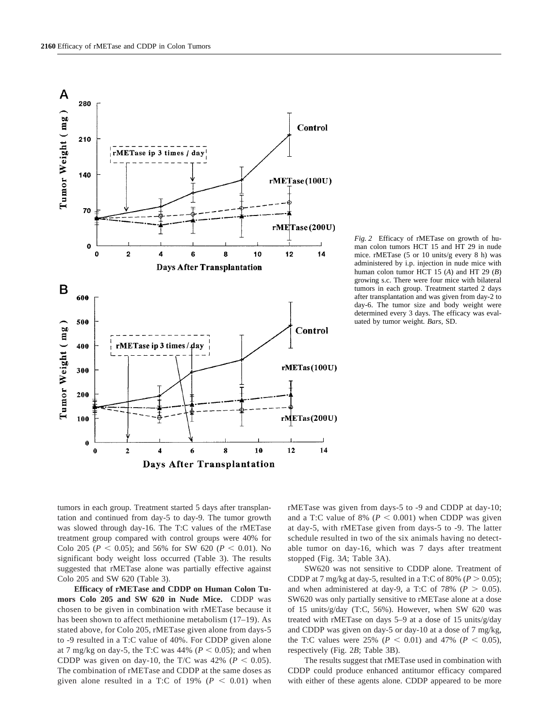

*Fig. 2* Efficacy of rMETase on growth of human colon tumors HCT 15 and HT 29 in nude mice. rMETase (5 or 10 units/g every 8 h) was administered by i.p. injection in nude mice with human colon tumor HCT 15 (*A*) and HT 29 (*B*) growing s.c. There were four mice with bilateral tumors in each group. Treatment started 2 days after transplantation and was given from day-2 to day-6. The tumor size and body weight were determined every 3 days. The efficacy was evaluated by tumor weight. *Bars,* SD.

tumors in each group. Treatment started 5 days after transplantation and continued from day-5 to day-9. The tumor growth was slowed through day-16. The T:C values of the rMETase treatment group compared with control groups were 40% for Colo 205 ( $P < 0.05$ ); and 56% for SW 620 ( $P < 0.01$ ). No significant body weight loss occurred (Table 3). The results suggested that rMETase alone was partially effective against Colo 205 and SW 620 (Table 3).

**Efficacy of rMETase and CDDP on Human Colon Tumors Colo 205 and SW 620 in Nude Mice.** CDDP was chosen to be given in combination with rMETase because it has been shown to affect methionine metabolism (17–19). As stated above, for Colo 205, rMETase given alone from days-5 to -9 resulted in a T:C value of 40%. For CDDP given alone at 7 mg/kg on day-5, the T:C was  $44\%$  ( $P < 0.05$ ); and when CDDP was given on day-10, the T/C was  $42\%$  ( $P < 0.05$ ). The combination of rMETase and CDDP at the same doses as given alone resulted in a T:C of 19% ( $P < 0.01$ ) when rMETase was given from days-5 to -9 and CDDP at day-10; and a T:C value of 8% ( $P < 0.001$ ) when CDDP was given at day-5, with rMETase given from days-5 to -9. The latter schedule resulted in two of the six animals having no detectable tumor on day-16, which was 7 days after treatment stopped (Fig. 3*A*; Table 3A).

SW620 was not sensitive to CDDP alone. Treatment of CDDP at 7 mg/kg at day-5, resulted in a T:C of 80% ( $P > 0.05$ ); and when administered at day-9, a T:C of 78% ( $P > 0.05$ ). SW620 was only partially sensitive to rMETase alone at a dose of 15 units/g/day (T:C, 56%). However, when SW 620 was treated with rMETase on days 5–9 at a dose of 15 units/g/day and CDDP was given on day-5 or day-10 at a dose of 7 mg/kg, the T:C values were 25% ( $P < 0.01$ ) and 47% ( $P < 0.05$ ), respectively (Fig. 2*B*; Table 3B).

The results suggest that rMETase used in combination with CDDP could produce enhanced antitumor efficacy compared with either of these agents alone. CDDP appeared to be more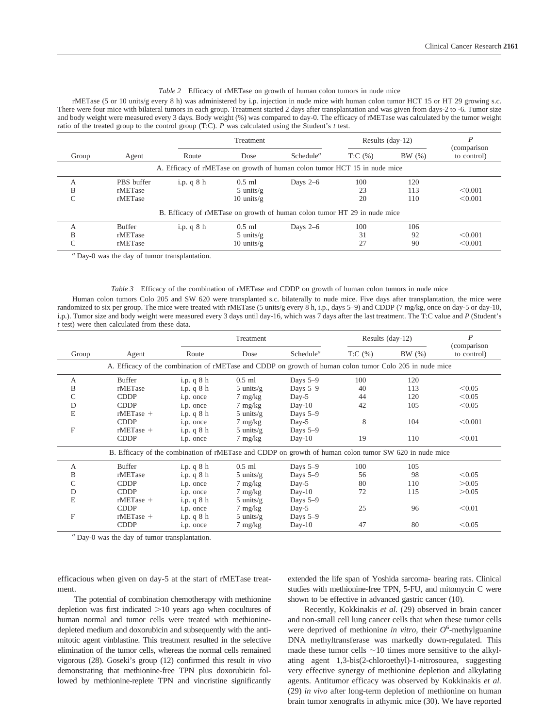#### *Table 2* Efficacy of rMETase on growth of human colon tumors in nude mice

rMETase (5 or 10 units/g every 8 h) was administered by i.p. injection in nude mice with human colon tumor HCT 15 or HT 29 growing s.c. There were four mice with bilateral tumors in each group. Treatment started 2 days after transplantation and was given from days-2 to -6. Tumor size and body weight were measured every 3 days. Body weight (%) was compared to day-0. The efficacy of rMETase was calculated by the tumor weight ratio of the treated group to the control group (T:C). *P* was calculated using the Student's *t* test.

|       |               | Treatment  |                      | Results (day-12)                                                          |             | (comparison |             |
|-------|---------------|------------|----------------------|---------------------------------------------------------------------------|-------------|-------------|-------------|
| Group | Agent         | Route      | Dose                 | Schedule <sup><math>a</math></sup>                                        | $T: C(\% )$ | BW(%)       | to control) |
|       |               |            |                      | A. Efficacy of rMETase on growth of human colon tumor HCT 15 in nude mice |             |             |             |
| А     | PBS buffer    | i.p. $q8h$ | $0.5$ ml             | Days $2-6$                                                                | 100         | 120         |             |
| B     | rMETase       |            | $5 \text{ units/g}$  |                                                                           | 23          | 113         | < 0.001     |
| C     | rMETase       |            | $10 \text{ units/g}$ |                                                                           | 20          | 110         | < 0.001     |
|       |               |            |                      | B. Efficacy of rMETase on growth of human colon tumor HT 29 in nude mice  |             |             |             |
| А     | <b>Buffer</b> | i.p. $q8h$ | $0.5$ ml             | Days $2-6$                                                                | 100         | 106         |             |
| B     | rMETase       |            | $5 \text{ units/g}$  |                                                                           | 31          | 92          | < 0.001     |
| C     | rMETase       |            | $10 \text{ units/g}$ |                                                                           | 27          | 90          | < 0.001     |

*<sup>a</sup>* Day-0 was the day of tumor transplantation.

#### *Table 3* Efficacy of the combination of rMETase and CDDP on growth of human colon tumors in nude mice

Human colon tumors Colo 205 and SW 620 were transplanted s.c. bilaterally to nude mice. Five days after transplantation, the mice were randomized to six per group. The mice were treated with rMETase (5 units/g every 8 h, i.p., days 5–9) and CDDP (7 mg/kg, once on day-5 or day-10, i.p.). Tumor size and body weight were measured every 3 days until day-16, which was 7 days after the last treatment. The T:C value and *P* (Student's *t* test) were then calculated from these data.

|       |                                                                                                         |            | Treatment           |                                    | Results (day-12) |       | $\boldsymbol{P}$<br>(comparison |
|-------|---------------------------------------------------------------------------------------------------------|------------|---------------------|------------------------------------|------------------|-------|---------------------------------|
| Group | Agent                                                                                                   | Route      | Dose                | Schedule <sup><math>a</math></sup> | T:C(%)           | BW(%) | to control)                     |
|       | A. Efficacy of the combination of rMETase and CDDP on growth of human colon tumor Colo 205 in nude mice |            |                     |                                    |                  |       |                                 |
| А     | Buffer                                                                                                  | i.p. $q8h$ | $0.5$ ml            | Days $5-9$                         | 100              | 120   |                                 |
| B     | rMETase                                                                                                 | i.p. q 8 h | $5$ units/g         | Days $5-9$                         | 40               | 113   | < 0.05                          |
| C     | <b>CDDP</b>                                                                                             | i.p. once  | $7 \text{ mg/kg}$   | $Day-5$                            | 44               | 120   | < 0.05                          |
| D     | <b>CDDP</b>                                                                                             | i.p. once  | $7 \text{ mg/kg}$   | $Day-10$                           | 42               | 105   | < 0.05                          |
| E     | $rMETase +$                                                                                             | i.p. $q8h$ | $5 \text{ units/g}$ | Days $5-9$                         |                  |       |                                 |
|       | <b>CDDP</b>                                                                                             | i.p. once  | $7 \text{ mg/kg}$   | $Day-5$                            | 8                | 104   | < 0.001                         |
| F     | $rMETase +$                                                                                             | i.p. $q8h$ | $5 \text{ units/g}$ | Days 5-9                           |                  |       |                                 |
|       | <b>CDDP</b>                                                                                             | i.p. once  | $7 \text{ mg/kg}$   | $Day-10$                           | 19               | 110   | < 0.01                          |
|       | B. Efficacy of the combination of rMETase and CDDP on growth of human colon tumor SW 620 in nude mice   |            |                     |                                    |                  |       |                                 |
| A     | <b>Buffer</b>                                                                                           | i.p. $q8h$ | $0.5$ ml            | Days $5-9$                         | 100              | 105   |                                 |
| B     | rMETase                                                                                                 | i.p. q 8 h | $5$ units/g         | Days $5-9$                         | 56               | 98    | < 0.05                          |
|       | <b>CDDP</b>                                                                                             | i.p. once  | $7 \text{ mg/kg}$   | $Day-5$                            | 80               | 110   | > 0.05                          |
| D     | <b>CDDP</b>                                                                                             | i.p. once  | $7 \text{ mg/kg}$   | $Day-10$                           | 72               | 115   | >0.05                           |
| E     | $rMETase +$                                                                                             | i.p. $q8h$ | $5 \text{ units/g}$ | Days $5-9$                         |                  |       |                                 |
|       | <b>CDDP</b>                                                                                             | i.p. once  | $7 \text{ mg/kg}$   | $Day-5$                            | 25               | 96    | < 0.01                          |
| F     | $rMETase +$                                                                                             | i.p. q 8 h | $5 \text{ units/g}$ | Days $5-9$                         |                  |       |                                 |
|       | <b>CDDP</b>                                                                                             | i.p. once  | $7 \text{ mg/kg}$   | $Day-10$                           | 47               | 80    | < 0.05                          |

*<sup>a</sup>* Day-0 was the day of tumor transplantation.

efficacious when given on day-5 at the start of rMETase treatment.

The potential of combination chemotherapy with methionine depletion was first indicated  $>10$  years ago when cocultures of human normal and tumor cells were treated with methioninedepleted medium and doxorubicin and subsequently with the antimitotic agent vinblastine. This treatment resulted in the selective elimination of the tumor cells, whereas the normal cells remained vigorous (28). Goseki's group (12) confirmed this result *in vivo* demonstrating that methionine-free TPN plus doxorubicin followed by methionine-replete TPN and vincristine significantly

extended the life span of Yoshida sarcoma- bearing rats. Clinical studies with methionine-free TPN, 5-FU, and mitomycin C were shown to be effective in advanced gastric cancer (10).

Recently, Kokkinakis *et al.* (29) observed in brain cancer and non-small cell lung cancer cells that when these tumor cells were deprived of methionine *in vitro*, their  $O^6$ -methylguanine DNA methyltransferase was markedly down-regulated. This made these tumor cells  $\sim$ 10 times more sensitive to the alkylating agent 1,3-bis(2-chloroethyl)-1-nitrosourea, suggesting very effective synergy of methionine depletion and alkylating agents. Antitumor efficacy was observed by Kokkinakis *et al.* (29) *in vivo* after long-term depletion of methionine on human brain tumor xenografts in athymic mice (30). We have reported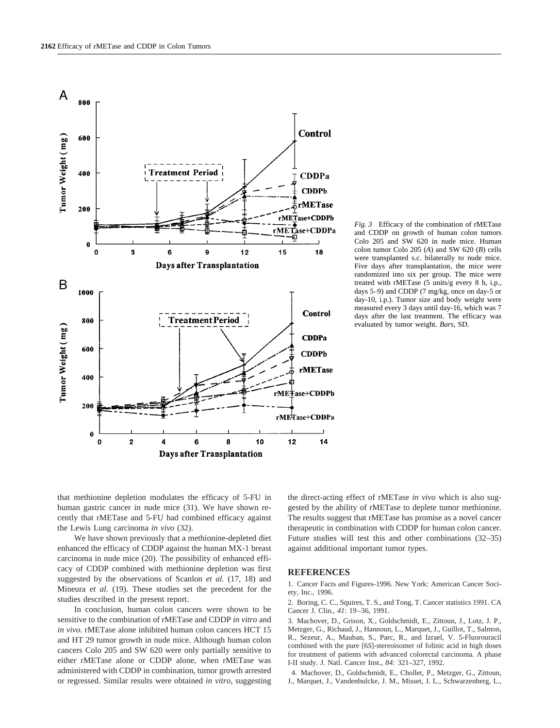

*Fig. 3* Efficacy of the combination of rMETase and CDDP on growth of human colon tumors Colo 205 and SW 620 in nude mice. Human colon tumor Colo 205 (*A*) and SW 620 (*B*) cells were transplanted s.c. bilaterally to nude mice. Five days after transplantation, the mice were randomized into six per group. The mice were treated with rMETase (5 units/g every 8 h, i.p., days 5–9) and CDDP (7 mg/kg, once on day-5 or day-10, i.p.). Tumor size and body weight were measured every 3 days until day-16, which was 7 days after the last treatment. The efficacy was evaluated by tumor weight. *Bars,* SD.

that methionine depletion modulates the efficacy of 5-FU in human gastric cancer in nude mice (31). We have shown recently that rMETase and 5-FU had combined efficacy against the Lewis Lung carcinoma *in vivo* (32).

We have shown previously that a methionine-depleted diet enhanced the efficacy of CDDP against the human MX-1 breast carcinoma in nude mice (20). The possibility of enhanced efficacy of CDDP combined with methionine depletion was first suggested by the observations of Scanlon *et al.* (17, 18) and Mineura *et al.* (19). These studies set the precedent for the studies described in the present report.

In conclusion, human colon cancers were shown to be sensitive to the combination of rMETase and CDDP *in vitro* and *in vivo.* rMETase alone inhibited human colon cancers HCT 15 and HT 29 tumor growth in nude mice. Although human colon cancers Colo 205 and SW 620 were only partially sensitive to either rMETase alone or CDDP alone, when rMETase was administered with CDDP in combination, tumor growth arrested or regressed. Similar results were obtained *in vitro,* suggesting

the direct-acting effect of rMETase *in vivo* which is also suggested by the ability of rMETase to deplete tumor methionine. The results suggest that rMETase has promise as a novel cancer therapeutic in combination with CDDP for human colon cancer. Future studies will test this and other combinations (32–35) against additional important tumor types.

#### **REFERENCES**

1. Cancer Facts and Figures-1996. New York: American Cancer Society, Inc., 1996.

2. Boring, C. C., Squires, T. S., and Tong, T. Cancer statistics 1991. CA Cancer J. Clin., *41*: 19–36, 1991.

3. Machover, D., Grison, X., Goldschmidt, E., Zittoun, J., Lotz, J. P., Metzger, G., Richaud, J., Hannoun, L., Marquet, J., Guillot, T., Salmon, R., Sezeur, A., Mauban, S., Parc, R., and Izrael, V. 5-Fluorouracil combined with the pure [6*S*]-stereoisomer of folinic acid in high doses for treatment of patients with advanced colorectal carcinoma. A phase I-II study. J. Natl. Cancer Inst., *84:* 321–327, 1992.

4. Machover, D., Goldschmidt, E., Chollet, P., Metzger, G., Zittoun, J., Marquet, J., Vandenbulcke, J. M., Misset, J. L., Schwarzenberg, L.,